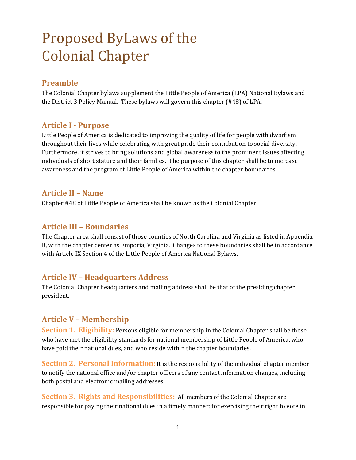# Proposed ByLaws of the Colonial Chapter

## **Preamble**

The Colonial Chapter bylaws supplement the Little People of America (LPA) National Bylaws and the District 3 Policy Manual. These bylaws will govern this chapter (#48) of LPA.

#### **Article I ‐ Purpose**

Little People of America is dedicated to improving the quality of life for people with dwarfism throughout their lives while celebrating with great pride their contribution to social diversity. Furthermore, it strives to bring solutions and global awareness to the prominent issues affecting individuals of short stature and their families. The purpose of this chapter shall be to increase awareness and the program of Little People of America within the chapter boundaries.

#### **Article II – Name**

Chapter #48 of Little People of America shall be known as the Colonial Chapter.

#### **Article III – Boundaries**

The Chapter area shall consist of those counties of North Carolina and Virginia as listed in Appendix B, with the chapter center as Emporia, Virginia. Changes to these boundaries shall be in accordance with Article IX Section 4 of the Little People of America National Bylaws.

# **Article IV – Headquarters Address**

The Colonial Chapter headquarters and mailing address shall be that of the presiding chapter president. 

# **Article V – Membership**

**Section 1. Eligibility:** Persons eligible for membership in the Colonial Chapter shall be those who have met the eligibility standards for national membership of Little People of America, who have paid their national dues, and who reside within the chapter boundaries.

**Section 2. Personal Information:** It is the responsibility of the individual chapter member to notify the national office and/or chapter officers of any contact information changes, including both postal and electronic mailing addresses.

**Section 3. Rights and Responsibilities:** All members of the Colonial Chapter are responsible for paying their national dues in a timely manner; for exercising their right to vote in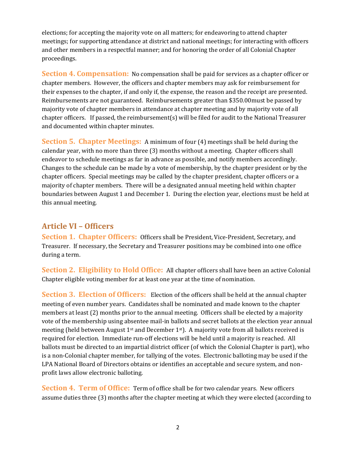elections; for accepting the majority vote on all matters; for endeavoring to attend chapter meetings; for supporting attendance at district and national meetings; for interacting with officers and other members in a respectful manner; and for honoring the order of all Colonial Chapter proceedings. 

**Section 4. Compensation:** No compensation shall be paid for services as a chapter officer or chapter members. However, the officers and chapter members may ask for reimbursement for their expenses to the chapter, if and only if, the expense, the reason and the receipt are presented. Reimbursements are not guaranteed. Reimbursements greater than \$350.00must be passed by majority vote of chapter members in attendance at chapter meeting and by majority vote of all chapter officers. If passed, the reimbursement(s) will be filed for audit to the National Treasurer and documented within chapter minutes.

**Section 5. Chapter Meetings:** A minimum of four (4) meetings shall be held during the calendar year, with no more than three  $(3)$  months without a meeting. Chapter officers shall endeavor to schedule meetings as far in advance as possible, and notify members accordingly. Changes to the schedule can be made by a vote of membership, by the chapter president or by the chapter officers. Special meetings may be called by the chapter president, chapter officers or a majority of chapter members. There will be a designated annual meeting held within chapter boundaries between August 1 and December 1. During the election year, elections must be held at this annual meeting.

# **Article VI – Officers**

**Section 1. Chapter Officers:** Officers shall be President, Vice-President, Secretary, and Treasurer. If necessary, the Secretary and Treasurer positions may be combined into one office during a term.

**Section 2. Eligibility to Hold Office:** All chapter officers shall have been an active Colonial Chapter eligible voting member for at least one year at the time of nomination.

**Section 3. Election of Officers:** Election of the officers shall be held at the annual chapter meeting of even number years. Candidates shall be nominated and made known to the chapter members at least  $(2)$  months prior to the annual meeting. Officers shall be elected by a majority vote of the membership using absentee mail-in ballots and secret ballots at the election year annual meeting (held between August 1<sup>st</sup> and December 1<sup>st</sup>). A majority vote from all ballots received is required for election. Immediate run-off elections will be held until a majority is reached. All ballots must be directed to an impartial district officer (of which the Colonial Chapter is part), who is a non-Colonial chapter member, for tallying of the votes. Electronic balloting may be used if the LPA National Board of Directors obtains or identifies an acceptable and secure system, and nonprofit laws allow electronic balloting.

**Section 4. Term of Office:** Term of office shall be for two calendar years. New officers assume duties three (3) months after the chapter meeting at which they were elected (according to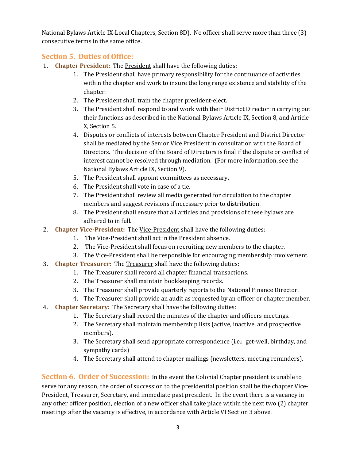National Bylaws Article IX-Local Chapters, Section 8D). No officer shall serve more than three (3) consecutive terms in the same office.

#### **Section 5. Duties of Office:**

- 1. **Chapter President:** The **President** shall have the following duties:
	- 1. The President shall have primary responsibility for the continuance of activities within the chapter and work to insure the long range existence and stability of the chapter.
	- 2. The President shall train the chapter president-elect.
	- 3. The President shall respond to and work with their District Director in carrying out their functions as described in the National Bylaws Article IX, Section 8, and Article X, Section 5.
	- 4. Disputes or conflicts of interests between Chapter President and District Director shall be mediated by the Senior Vice President in consultation with the Board of Directors. The decision of the Board of Directors is final if the dispute or conflict of interest cannot be resolved through mediation. (For more information, see the National Bylaws Article IX, Section 9).
	- 5. The President shall appoint committees as necessary.
	- 6. The President shall vote in case of a tie.
	- 7. The President shall review all media generated for circulation to the chapter members and suggest revisions if necessary prior to distribution.
	- 8. The President shall ensure that all articles and provisions of these bylaws are adhered to in full.
- 2. **Chapter Vice-President:** The Vice-President shall have the following duties:
	- 1. The Vice-President shall act in the President absence.
	- 2. The Vice-President shall focus on recruiting new members to the chapter.
	- 3. The Vice-President shall be responsible for encouraging membership involvement.
- **3. Chapter Treasurer:** The Treasurer shall have the following duties:
	- 1. The Treasurer shall record all chapter financial transactions.
	- 2. The Treasurer shall maintain bookkeeping records.
	- 3. The Treasurer shall provide quarterly reports to the National Finance Director.
	- 4. The Treasurer shall provide an audit as requested by an officer or chapter member.
- 4. **Chapter Secretary:** The Secretary shall have the following duties:
	- 1. The Secretary shall record the minutes of the chapter and officers meetings.
	- 2. The Secretary shall maintain membership lists (active, inactive, and prospective members).
	- 3. The Secretary shall send appropriate correspondence (i.e.: get-well, birthday, and sympathy cards)
	- 4. The Secretary shall attend to chapter mailings (newsletters, meeting reminders).

**Section 6. Order of Succession:** In the event the Colonial Chapter president is unable to serve for any reason, the order of succession to the presidential position shall be the chapter Vice-President, Treasurer, Secretary, and immediate past president. In the event there is a vacancy in any other officer position, election of a new officer shall take place within the next two  $(2)$  chapter meetings after the vacancy is effective, in accordance with Article VI Section 3 above.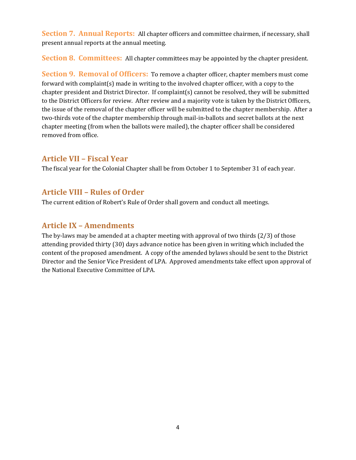**Section 7. Annual Reports:** All chapter officers and committee chairmen, if necessary, shall present annual reports at the annual meeting.

**Section 8. Committees:** All chapter committees may be appointed by the chapter president.

**Section 9. Removal of Officers:** To remove a chapter officer, chapter members must come forward with complaint(s) made in writing to the involved chapter officer, with a copy to the chapter president and District Director. If complaint(s) cannot be resolved, they will be submitted to the District Officers for review. After review and a majority vote is taken by the District Officers, the issue of the removal of the chapter officer will be submitted to the chapter membership. After a two-thirds vote of the chapter membership through mail-in-ballots and secret ballots at the next chapter meeting (from when the ballots were mailed), the chapter officer shall be considered removed from office.

## **Article VII – Fiscal Year**

The fiscal year for the Colonial Chapter shall be from October 1 to September 31 of each year.

#### **Article VIII – Rules of Order**

The current edition of Robert's Rule of Order shall govern and conduct all meetings.

## **Article IX – Amendments**

The by-laws may be amended at a chapter meeting with approval of two thirds  $(2/3)$  of those attending provided thirty (30) days advance notice has been given in writing which included the content of the proposed amendment. A copy of the amended bylaws should be sent to the District Director and the Senior Vice President of LPA. Approved amendments take effect upon approval of the National Executive Committee of LPA.